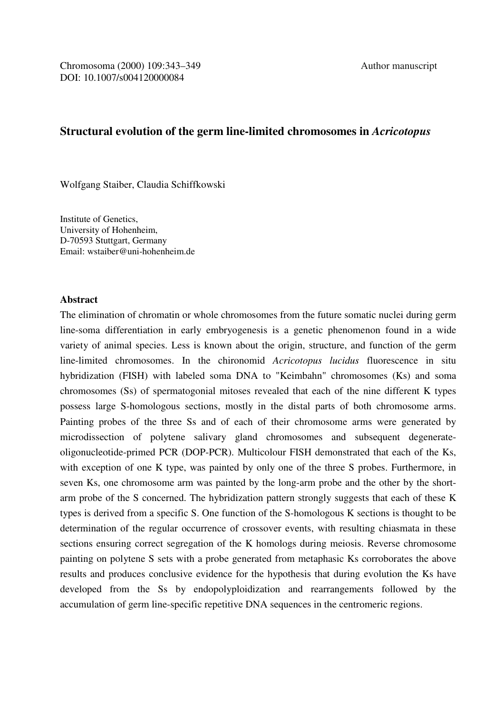## **Structural evolution of the germ line-limited chromosomes in** *Acricotopus*

Wolfgang Staiber, Claudia Schiffkowski

Institute of Genetics, University of Hohenheim, D-70593 Stuttgart, Germany Email: wstaiber@uni-hohenheim.de

## **Abstract**

The elimination of chromatin or whole chromosomes from the future somatic nuclei during germ line-soma differentiation in early embryogenesis is a genetic phenomenon found in a wide variety of animal species. Less is known about the origin, structure, and function of the germ line-limited chromosomes. In the chironomid *Acricotopus lucidus* fluorescence in situ hybridization (FISH) with labeled soma DNA to "Keimbahn" chromosomes (Ks) and soma chromosomes (Ss) of spermatogonial mitoses revealed that each of the nine different K types possess large S-homologous sections, mostly in the distal parts of both chromosome arms. Painting probes of the three Ss and of each of their chromosome arms were generated by microdissection of polytene salivary gland chromosomes and subsequent degenerateoligonucleotide-primed PCR (DOP-PCR). Multicolour FISH demonstrated that each of the Ks, with exception of one K type, was painted by only one of the three S probes. Furthermore, in seven Ks, one chromosome arm was painted by the long-arm probe and the other by the shortarm probe of the S concerned. The hybridization pattern strongly suggests that each of these K types is derived from a specific S. One function of the S-homologous K sections is thought to be determination of the regular occurrence of crossover events, with resulting chiasmata in these sections ensuring correct segregation of the K homologs during meiosis. Reverse chromosome painting on polytene S sets with a probe generated from metaphasic Ks corroborates the above results and produces conclusive evidence for the hypothesis that during evolution the Ks have developed from the Ss by endopolyploidization and rearrangements followed by the accumulation of germ line-specific repetitive DNA sequences in the centromeric regions.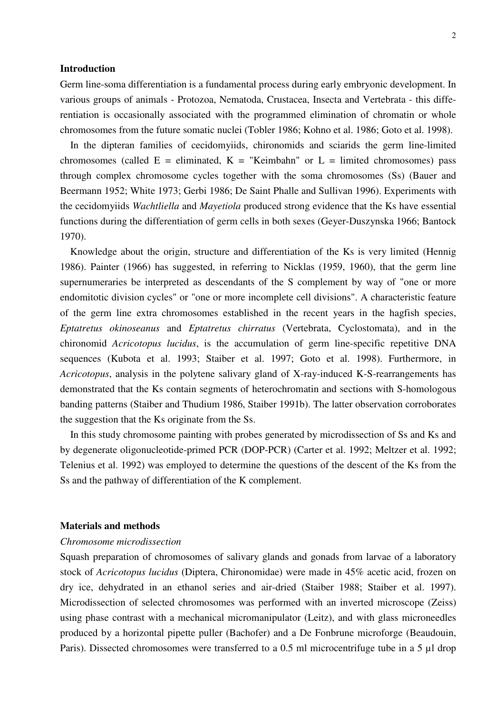#### **Introduction**

Germ line-soma differentiation is a fundamental process during early embryonic development. In various groups of animals - Protozoa, Nematoda, Crustacea, Insecta and Vertebrata - this differentiation is occasionally associated with the programmed elimination of chromatin or whole chromosomes from the future somatic nuclei (Tobler 1986; Kohno et al. 1986; Goto et al. 1998).

 In the dipteran families of cecidomyiids, chironomids and sciarids the germ line-limited chromosomes (called  $E =$  eliminated,  $K =$  "Keimbahn" or  $L =$  limited chromosomes) pass through complex chromosome cycles together with the soma chromosomes (Ss) (Bauer and Beermann 1952; White 1973; Gerbi 1986; De Saint Phalle and Sullivan 1996). Experiments with the cecidomyiids *Wachtliella* and *Mayetiola* produced strong evidence that the Ks have essential functions during the differentiation of germ cells in both sexes (Geyer-Duszynska 1966; Bantock 1970).

 Knowledge about the origin, structure and differentiation of the Ks is very limited (Hennig 1986). Painter (1966) has suggested, in referring to Nicklas (1959, 1960), that the germ line supernumeraries be interpreted as descendants of the S complement by way of "one or more endomitotic division cycles" or "one or more incomplete cell divisions". A characteristic feature of the germ line extra chromosomes established in the recent years in the hagfish species, *Eptatretus okinoseanus* and *Eptatretus chirratus* (Vertebrata, Cyclostomata), and in the chironomid *Acricotopus lucidus*, is the accumulation of germ line-specific repetitive DNA sequences (Kubota et al. 1993; Staiber et al. 1997; Goto et al. 1998). Furthermore, in *Acricotopus*, analysis in the polytene salivary gland of X-ray-induced K-S-rearrangements has demonstrated that the Ks contain segments of heterochromatin and sections with S-homologous banding patterns (Staiber and Thudium 1986, Staiber 1991b). The latter observation corroborates the suggestion that the Ks originate from the Ss.

 In this study chromosome painting with probes generated by microdissection of Ss and Ks and by degenerate oligonucleotide-primed PCR (DOP-PCR) (Carter et al. 1992; Meltzer et al. 1992; Telenius et al. 1992) was employed to determine the questions of the descent of the Ks from the Ss and the pathway of differentiation of the K complement.

## **Materials and methods**

### *Chromosome microdissection*

Squash preparation of chromosomes of salivary glands and gonads from larvae of a laboratory stock of *Acricotopus lucidus* (Diptera, Chironomidae) were made in 45% acetic acid, frozen on dry ice, dehydrated in an ethanol series and air-dried (Staiber 1988; Staiber et al. 1997). Microdissection of selected chromosomes was performed with an inverted microscope (Zeiss) using phase contrast with a mechanical micromanipulator (Leitz), and with glass microneedles produced by a horizontal pipette puller (Bachofer) and a De Fonbrune microforge (Beaudouin, Paris). Dissected chromosomes were transferred to a 0.5 ml microcentrifuge tube in a 5 µl drop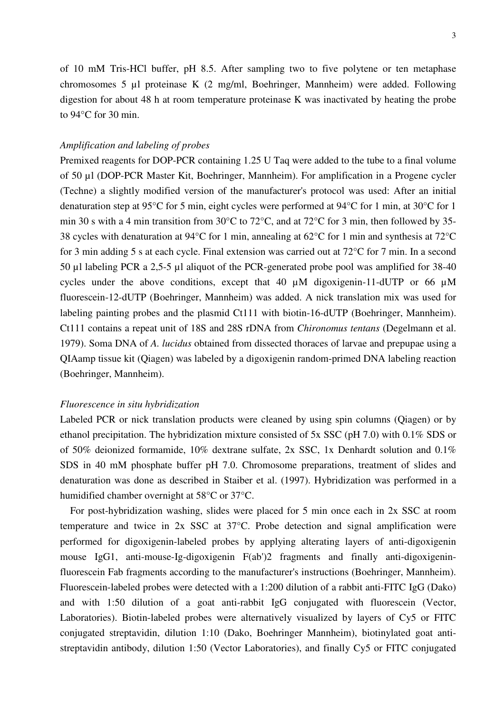of 10 mM Tris-HCl buffer, pH 8.5. After sampling two to five polytene or ten metaphase chromosomes 5 µl proteinase K (2 mg/ml, Boehringer, Mannheim) were added. Following digestion for about 48 h at room temperature proteinase K was inactivated by heating the probe to 94°C for 30 min.

### *Amplification and labeling of probes*

Premixed reagents for DOP-PCR containing 1.25 U Taq were added to the tube to a final volume of 50 µl (DOP-PCR Master Kit, Boehringer, Mannheim). For amplification in a Progene cycler (Techne) a slightly modified version of the manufacturer's protocol was used: After an initial denaturation step at 95°C for 5 min, eight cycles were performed at 94°C for 1 min, at 30°C for 1 min 30 s with a 4 min transition from 30°C to 72°C, and at 72°C for 3 min, then followed by 35- 38 cycles with denaturation at 94°C for 1 min, annealing at 62°C for 1 min and synthesis at 72°C for 3 min adding 5 s at each cycle. Final extension was carried out at 72°C for 7 min. In a second 50 µl labeling PCR a 2,5-5 µl aliquot of the PCR-generated probe pool was amplified for 38-40 cycles under the above conditions, except that 40 µM digoxigenin-11-dUTP or 66 µM fluorescein-12-dUTP (Boehringer, Mannheim) was added. A nick translation mix was used for labeling painting probes and the plasmid Ct111 with biotin-16-dUTP (Boehringer, Mannheim). Ct111 contains a repeat unit of 18S and 28S rDNA from *Chironomus tentans* (Degelmann et al. 1979). Soma DNA of *A. lucidus* obtained from dissected thoraces of larvae and prepupae using a QIAamp tissue kit (Qiagen) was labeled by a digoxigenin random-primed DNA labeling reaction (Boehringer, Mannheim).

## *Fluorescence in situ hybridization*

Labeled PCR or nick translation products were cleaned by using spin columns (Qiagen) or by ethanol precipitation. The hybridization mixture consisted of 5x SSC (pH 7.0) with 0.1% SDS or of 50% deionized formamide, 10% dextrane sulfate, 2x SSC, 1x Denhardt solution and 0.1% SDS in 40 mM phosphate buffer pH 7.0. Chromosome preparations, treatment of slides and denaturation was done as described in Staiber et al. (1997). Hybridization was performed in a humidified chamber overnight at 58°C or 37°C.

 For post-hybridization washing, slides were placed for 5 min once each in 2x SSC at room temperature and twice in 2x SSC at 37°C. Probe detection and signal amplification were performed for digoxigenin-labeled probes by applying alterating layers of anti-digoxigenin mouse IgG1, anti-mouse-Ig-digoxigenin F(ab')2 fragments and finally anti-digoxigeninfluorescein Fab fragments according to the manufacturer's instructions (Boehringer, Mannheim). Fluorescein-labeled probes were detected with a 1:200 dilution of a rabbit anti-FITC IgG (Dako) and with 1:50 dilution of a goat anti-rabbit IgG conjugated with fluorescein (Vector, Laboratories). Biotin-labeled probes were alternatively visualized by layers of Cy5 or FITC conjugated streptavidin, dilution 1:10 (Dako, Boehringer Mannheim), biotinylated goat antistreptavidin antibody, dilution 1:50 (Vector Laboratories), and finally Cy5 or FITC conjugated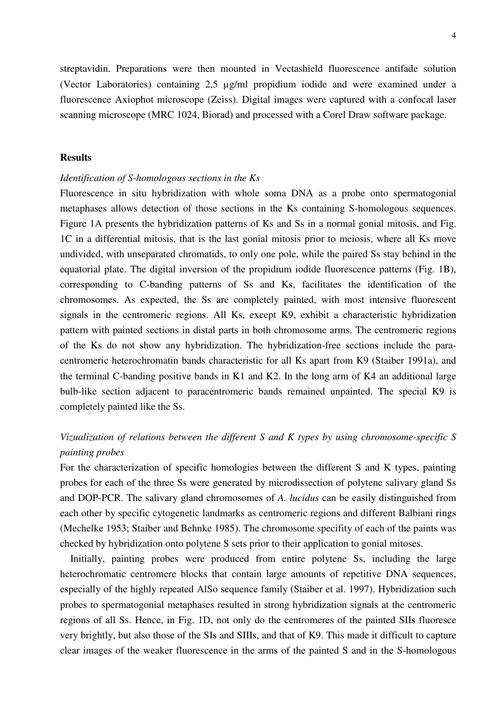streptavidin. Preparations were then mounted in Vectashield fluorescence antifade solution (Vector Laboratories) containing 2,5 µg/ml propidium iodide and were examined under a fluorescence Axiophot microscope (Zeiss). Digital images were captured with a confocal laser scanning microscope (MRC 1024, Biorad) and processed with a Corel Draw software package.

## **Results**

#### *Identification of S-homologous sections in the Ks*

Fluorescence in situ hybridization with whole soma DNA as a probe onto spermatogonial metaphases allows detection of those sections in the Ks containing S-homologous sequences. Figure 1A presents the hybridization patterns of Ks and Ss in a normal gonial mitosis, and Fig. 1C in a differential mitosis, that is the last gonial mitosis prior to meiosis, where all Ks move undivided, with unseparated chromatids, to only one pole, while the paired Ss stay behind in the equatorial plate. The digital inversion of the propidium iodide fluorescence patterns (Fig. 1B), corresponding to C-banding patterns of Ss and Ks, facilitates the identification of the chromosomes. As expected, the Ss are completely painted, with most intensive fluorescent signals in the centromeric regions. All Ks, except K9, exhibit a characteristic hybridization pattern with painted sections in distal parts in both chromosome arms. The centromeric regions of the Ks do not show any hybridization. The hybridization-free sections include the paracentromeric heterochromatin bands characteristic for all Ks apart from K9 (Staiber 1991a), and the terminal C-banding positive bands in K1 and K2. In the long arm of K4 an additional large bulb-like section adjacent to paracentromeric bands remained unpainted. The special K9 is completely painted like the Ss.

# *Vizualization of relations between the different S and K types by using chromosome-specific S painting probes*

For the characterization of specific homologies between the different S and K types, painting probes for each of the three Ss were generated by microdissection of polytene salivary gland Ss and DOP-PCR. The salivary gland chromosomes of *A. lucidus* can be easily distinguished from each other by specific cytogenetic landmarks as centromeric regions and different Balbiani rings (Mechelke 1953; Staiber and Behnke 1985). The chromosome specifity of each of the paints was checked by hybridization onto polytene S sets prior to their application to gonial mitoses.

 Initially, painting probes were produced from entire polytene Ss, including the large heterochromatic centromere blocks that contain large amounts of repetitive DNA sequences, especially of the highly repeated AlSo sequence family (Staiber et al. 1997). Hybridization such probes to spermatogonial metaphases resulted in strong hybridization signals at the centromeric regions of all Ss. Hence, in Fig. 1D, not only do the centromeres of the painted SIIs fluoresce very brightly, but also those of the SIs and SIIIs, and that of K9. This made it difficult to capture clear images of the weaker fluorescence in the arms of the painted S and in the S-homologous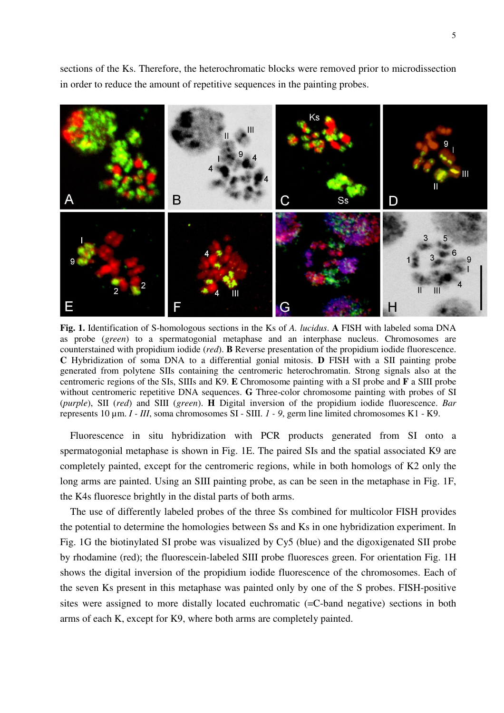sections of the Ks. Therefore, the heterochromatic blocks were removed prior to microdissection in order to reduce the amount of repetitive sequences in the painting probes.



**Fig. 1.** Identification of S-homologous sections in the Ks of *A. lucidus*. **A** FISH with labeled soma DNA as probe (*green*) to a spermatogonial metaphase and an interphase nucleus. Chromosomes are counterstained with propidium iodide (*red*). **B** Reverse presentation of the propidium iodide fluorescence. **C** Hybridization of soma DNA to a differential gonial mitosis. **D** FISH with a SII painting probe generated from polytene SIIs containing the centromeric heterochromatin. Strong signals also at the centromeric regions of the SIs, SIIIs and K9. **E** Chromosome painting with a SI probe and **F** a SIII probe without centromeric repetitive DNA sequences. **G** Three-color chromosome painting with probes of SI (*purple*), SII (*red*) and SIII (*green*). **H** Digital inversion of the propidium iodide fluorescence. *Bar* represents 10 µm. *I - III*, soma chromosomes SI - SIII. *1 - 9*, germ line limited chromosomes K1 - K9.

 Fluorescence in situ hybridization with PCR products generated from SI onto a spermatogonial metaphase is shown in Fig. 1E. The paired SIs and the spatial associated K9 are completely painted, except for the centromeric regions, while in both homologs of K2 only the long arms are painted. Using an SIII painting probe, as can be seen in the metaphase in Fig. 1F, the K4s fluoresce brightly in the distal parts of both arms.

 The use of differently labeled probes of the three Ss combined for multicolor FISH provides the potential to determine the homologies between Ss and Ks in one hybridization experiment. In Fig. 1G the biotinylated SI probe was visualized by Cy5 (blue) and the digoxigenated SII probe by rhodamine (red); the fluorescein-labeled SIII probe fluoresces green. For orientation Fig. 1H shows the digital inversion of the propidium iodide fluorescence of the chromosomes. Each of the seven Ks present in this metaphase was painted only by one of the S probes. FISH-positive sites were assigned to more distally located euchromatic (=C-band negative) sections in both arms of each K, except for K9, where both arms are completely painted.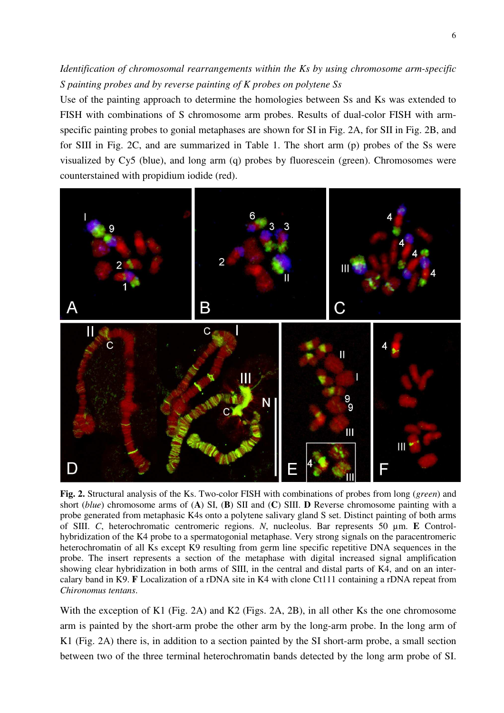## *Identification of chromosomal rearrangements within the Ks by using chromosome arm-specific S painting probes and by reverse painting of K probes on polytene Ss*

Use of the painting approach to determine the homologies between Ss and Ks was extended to FISH with combinations of S chromosome arm probes. Results of dual-color FISH with armspecific painting probes to gonial metaphases are shown for SI in Fig. 2A, for SII in Fig. 2B, and for SIII in Fig. 2C, and are summarized in Table 1. The short arm (p) probes of the Ss were visualized by Cy5 (blue), and long arm (q) probes by fluorescein (green). Chromosomes were counterstained with propidium iodide (red).



**Fig. 2.** Structural analysis of the Ks. Two-color FISH with combinations of probes from long (*green*) and short (*blue*) chromosome arms of (**A**) SI, (**B**) SII and (**C**) SIII. **D** Reverse chromosome painting with a probe generated from metaphasic K4s onto a polytene salivary gland S set. Distinct painting of both arms of SIII. *C*, heterochromatic centromeric regions. *N*, nucleolus. Bar represents 50 µm. **E** Controlhybridization of the K4 probe to a spermatogonial metaphase. Very strong signals on the paracentromeric heterochromatin of all Ks except K9 resulting from germ line specific repetitive DNA sequences in the probe. The insert represents a section of the metaphase with digital increased signal amplification showing clear hybridization in both arms of SIII, in the central and distal parts of K4, and on an intercalary band in K9. **F** Localization of a rDNA site in K4 with clone Ct111 containing a rDNA repeat from *Chironomus tentans*.

With the exception of K1 (Fig. 2A) and K2 (Figs. 2A, 2B), in all other Ks the one chromosome arm is painted by the short-arm probe the other arm by the long-arm probe. In the long arm of K1 (Fig. 2A) there is, in addition to a section painted by the SI short-arm probe, a small section between two of the three terminal heterochromatin bands detected by the long arm probe of SI.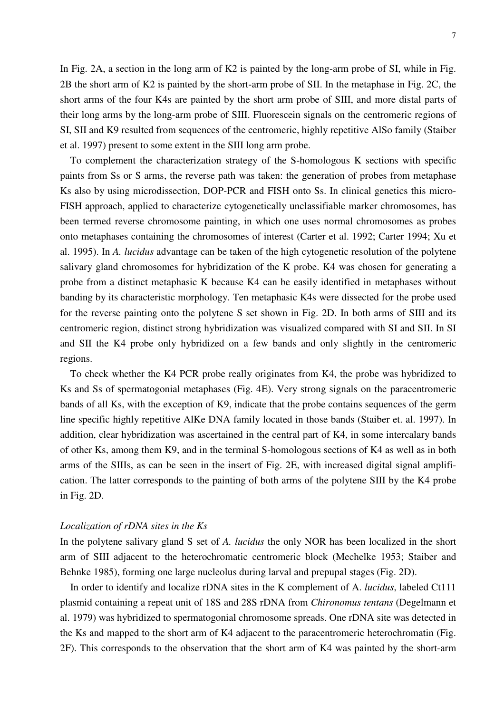In Fig. 2A, a section in the long arm of K2 is painted by the long-arm probe of SI, while in Fig. 2B the short arm of K2 is painted by the short-arm probe of SII. In the metaphase in Fig. 2C, the short arms of the four K4s are painted by the short arm probe of SIII, and more distal parts of their long arms by the long-arm probe of SIII. Fluorescein signals on the centromeric regions of SI, SII and K9 resulted from sequences of the centromeric, highly repetitive AlSo family (Staiber et al. 1997) present to some extent in the SIII long arm probe.

 To complement the characterization strategy of the S-homologous K sections with specific paints from Ss or S arms, the reverse path was taken: the generation of probes from metaphase Ks also by using microdissection, DOP-PCR and FISH onto Ss. In clinical genetics this micro-FISH approach, applied to characterize cytogenetically unclassifiable marker chromosomes, has been termed reverse chromosome painting, in which one uses normal chromosomes as probes onto metaphases containing the chromosomes of interest (Carter et al. 1992; Carter 1994; Xu et al. 1995). In *A. lucidus* advantage can be taken of the high cytogenetic resolution of the polytene salivary gland chromosomes for hybridization of the K probe. K4 was chosen for generating a probe from a distinct metaphasic K because K4 can be easily identified in metaphases without banding by its characteristic morphology. Ten metaphasic K4s were dissected for the probe used for the reverse painting onto the polytene S set shown in Fig. 2D. In both arms of SIII and its centromeric region, distinct strong hybridization was visualized compared with SI and SII. In SI and SII the K4 probe only hybridized on a few bands and only slightly in the centromeric regions.

 To check whether the K4 PCR probe really originates from K4, the probe was hybridized to Ks and Ss of spermatogonial metaphases (Fig. 4E). Very strong signals on the paracentromeric bands of all Ks, with the exception of K9, indicate that the probe contains sequences of the germ line specific highly repetitive AlKe DNA family located in those bands (Staiber et. al. 1997). In addition, clear hybridization was ascertained in the central part of K4, in some intercalary bands of other Ks, among them K9, and in the terminal S-homologous sections of K4 as well as in both arms of the SIIIs, as can be seen in the insert of Fig. 2E, with increased digital signal amplification. The latter corresponds to the painting of both arms of the polytene SIII by the K4 probe in Fig. 2D.

## *Localization of rDNA sites in the Ks*

In the polytene salivary gland S set of *A. lucidus* the only NOR has been localized in the short arm of SIII adjacent to the heterochromatic centromeric block (Mechelke 1953; Staiber and Behnke 1985), forming one large nucleolus during larval and prepupal stages (Fig. 2D).

 In order to identify and localize rDNA sites in the K complement of A. *lucidus*, labeled Ct111 plasmid containing a repeat unit of 18S and 28S rDNA from *Chironomus tentans* (Degelmann et al. 1979) was hybridized to spermatogonial chromosome spreads. One rDNA site was detected in the Ks and mapped to the short arm of K4 adjacent to the paracentromeric heterochromatin (Fig. 2F). This corresponds to the observation that the short arm of K4 was painted by the short-arm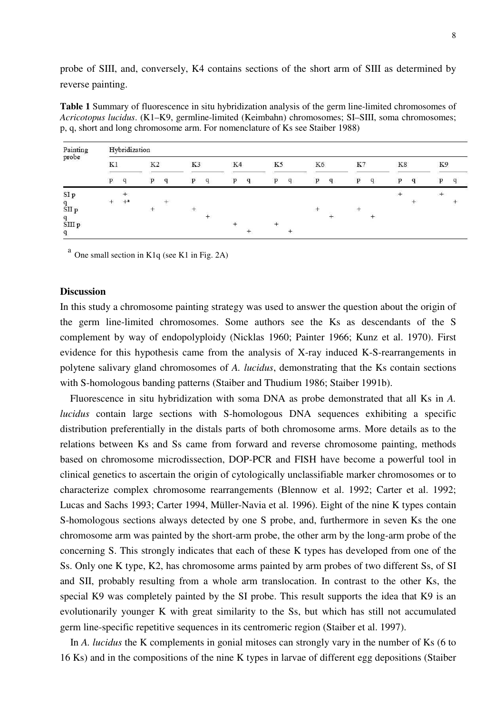probe of SIII, and, conversely, K4 contains sections of the short arm of SIII as determined by reverse painting.

**Table 1** Summary of fluorescence in situ hybridization analysis of the germ line-limited chromosomes of *Acricotopus lucidus*. (K1–K9, germline-limited (Keimbahn) chromosomes; SI–SIII, soma chromosomes; p, q, short and long chromosome arm. For nomenclature of Ks see Staiber 1988)

| Painting<br>probe         |        | Hybridization |                |   |        |   |    |   |    |   |    |   |     |   |    |   |     |   |
|---------------------------|--------|---------------|----------------|---|--------|---|----|---|----|---|----|---|-----|---|----|---|-----|---|
|                           | K1     |               | K <sub>2</sub> |   | K3     |   | K4 |   | K5 |   | K6 |   | K7  |   | K8 |   | K9  |   |
|                           | p      | q             | p              | q | p      | q | p  | q | D  | q | p  | q | p   | q | p  | q | p   | q |
| $\rm SI~p$                |        |               |                |   |        |   |    |   |    |   |    |   |     |   |    |   | $+$ |   |
| $\frac{\rm q}{\rm SII}$ p | $^{+}$ | $+a$          |                |   | $^{+}$ |   |    |   |    |   |    |   | $+$ |   |    |   |     |   |
| $\frac{q}{\rm SIII}$ p    |        |               |                |   |        |   |    |   |    |   |    |   |     |   |    |   |     |   |
| q                         |        |               |                |   |        |   |    |   |    |   |    |   |     |   |    |   |     |   |

 $a$  One small section in K1q (see K1 in Fig. 2A)

## **Discussion**

In this study a chromosome painting strategy was used to answer the question about the origin of the germ line-limited chromosomes. Some authors see the Ks as descendants of the S complement by way of endopolyploidy (Nicklas 1960; Painter 1966; Kunz et al. 1970). First evidence for this hypothesis came from the analysis of X-ray induced K-S-rearrangements in polytene salivary gland chromosomes of *A. lucidus*, demonstrating that the Ks contain sections with S-homologous banding patterns (Staiber and Thudium 1986; Staiber 1991b).

 Fluorescence in situ hybridization with soma DNA as probe demonstrated that all Ks in *A. lucidus* contain large sections with S-homologous DNA sequences exhibiting a specific distribution preferentially in the distals parts of both chromosome arms. More details as to the relations between Ks and Ss came from forward and reverse chromosome painting, methods based on chromosome microdissection, DOP-PCR and FISH have become a powerful tool in clinical genetics to ascertain the origin of cytologically unclassifiable marker chromosomes or to characterize complex chromosome rearrangements (Blennow et al. 1992; Carter et al. 1992; Lucas and Sachs 1993; Carter 1994, Müller-Navia et al. 1996). Eight of the nine K types contain S-homologous sections always detected by one S probe, and, furthermore in seven Ks the one chromosome arm was painted by the short-arm probe, the other arm by the long-arm probe of the concerning S. This strongly indicates that each of these K types has developed from one of the Ss. Only one K type, K2, has chromosome arms painted by arm probes of two different Ss, of SI and SII, probably resulting from a whole arm translocation. In contrast to the other Ks, the special K9 was completely painted by the SI probe. This result supports the idea that K9 is an evolutionarily younger K with great similarity to the Ss, but which has still not accumulated germ line-specific repetitive sequences in its centromeric region (Staiber et al. 1997).

 In *A. lucidus* the K complements in gonial mitoses can strongly vary in the number of Ks (6 to 16 Ks) and in the compositions of the nine K types in larvae of different egg depositions (Staiber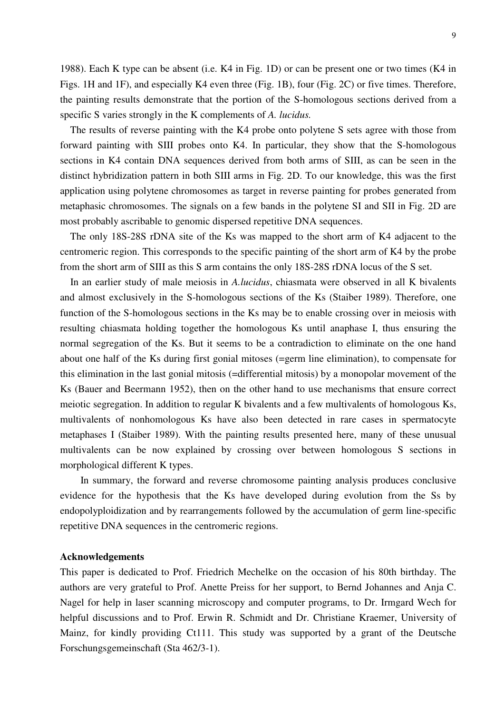1988). Each K type can be absent (i.e. K4 in Fig. 1D) or can be present one or two times (K4 in Figs. 1H and 1F), and especially K4 even three (Fig. 1B), four (Fig. 2C) or five times. Therefore, the painting results demonstrate that the portion of the S-homologous sections derived from a specific S varies strongly in the K complements of *A. lucidus.* 

 The results of reverse painting with the K4 probe onto polytene S sets agree with those from forward painting with SIII probes onto K4. In particular, they show that the S-homologous sections in K4 contain DNA sequences derived from both arms of SIII, as can be seen in the distinct hybridization pattern in both SIII arms in Fig. 2D. To our knowledge, this was the first application using polytene chromosomes as target in reverse painting for probes generated from metaphasic chromosomes. The signals on a few bands in the polytene SI and SII in Fig. 2D are most probably ascribable to genomic dispersed repetitive DNA sequences.

 The only 18S-28S rDNA site of the Ks was mapped to the short arm of K4 adjacent to the centromeric region. This corresponds to the specific painting of the short arm of K4 by the probe from the short arm of SIII as this S arm contains the only 18S-28S rDNA locus of the S set.

 In an earlier study of male meiosis in *A.lucidus*, chiasmata were observed in all K bivalents and almost exclusively in the S-homologous sections of the Ks (Staiber 1989). Therefore, one function of the S-homologous sections in the Ks may be to enable crossing over in meiosis with resulting chiasmata holding together the homologous Ks until anaphase I, thus ensuring the normal segregation of the Ks. But it seems to be a contradiction to eliminate on the one hand about one half of the Ks during first gonial mitoses (=germ line elimination), to compensate for this elimination in the last gonial mitosis (=differential mitosis) by a monopolar movement of the Ks (Bauer and Beermann 1952), then on the other hand to use mechanisms that ensure correct meiotic segregation. In addition to regular K bivalents and a few multivalents of homologous Ks, multivalents of nonhomologous Ks have also been detected in rare cases in spermatocyte metaphases I (Staiber 1989). With the painting results presented here, many of these unusual multivalents can be now explained by crossing over between homologous S sections in morphological different K types.

 In summary, the forward and reverse chromosome painting analysis produces conclusive evidence for the hypothesis that the Ks have developed during evolution from the Ss by endopolyploidization and by rearrangements followed by the accumulation of germ line-specific repetitive DNA sequences in the centromeric regions.

#### **Acknowledgements**

This paper is dedicated to Prof. Friedrich Mechelke on the occasion of his 80th birthday. The authors are very grateful to Prof. Anette Preiss for her support, to Bernd Johannes and Anja C. Nagel for help in laser scanning microscopy and computer programs, to Dr. Irmgard Wech for helpful discussions and to Prof. Erwin R. Schmidt and Dr. Christiane Kraemer, University of Mainz, for kindly providing Ct111. This study was supported by a grant of the Deutsche Forschungsgemeinschaft (Sta 462/3-1).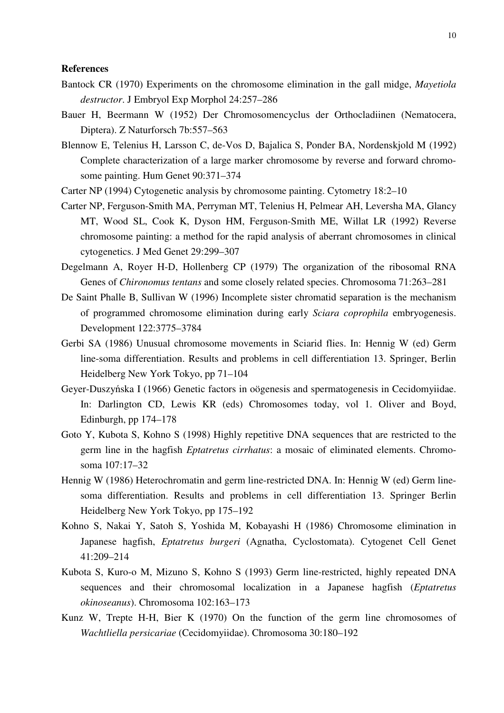## **References**

- Bantock CR (1970) Experiments on the chromosome elimination in the gall midge, *Mayetiola destructor*. J Embryol Exp Morphol 24:257–286
- Bauer H, Beermann W (1952) Der Chromosomencyclus der Orthocladiinen (Nematocera, Diptera). Z Naturforsch 7b:557–563
- Blennow E, Telenius H, Larsson C, de-Vos D, Bajalica S, Ponder BA, Nordenskjold M (1992) Complete characterization of a large marker chromosome by reverse and forward chromosome painting. Hum Genet 90:371–374
- Carter NP (1994) Cytogenetic analysis by chromosome painting. Cytometry 18:2–10
- Carter NP, Ferguson-Smith MA, Perryman MT, Telenius H, Pelmear AH, Leversha MA, Glancy MT, Wood SL, Cook K, Dyson HM, Ferguson-Smith ME, Willat LR (1992) Reverse chromosome painting: a method for the rapid analysis of aberrant chromosomes in clinical cytogenetics. J Med Genet 29:299–307
- Degelmann A, Royer H-D, Hollenberg CP (1979) The organization of the ribosomal RNA Genes of *Chironomus tentans* and some closely related species. Chromosoma 71:263–281
- De Saint Phalle B, Sullivan W (1996) Incomplete sister chromatid separation is the mechanism of programmed chromosome elimination during early *Sciara coprophila* embryogenesis. Development 122:3775–3784
- Gerbi SA (1986) Unusual chromosome movements in Sciarid flies. In: Hennig W (ed) Germ line-soma differentiation. Results and problems in cell differentiation 13. Springer, Berlin Heidelberg New York Tokyo, pp 71–104
- Geyer-Duszyńska I (1966) Genetic factors in oögenesis and spermatogenesis in Cecidomyiidae. In: Darlington CD, Lewis KR (eds) Chromosomes today, vol 1. Oliver and Boyd, Edinburgh, pp 174–178
- Goto Y, Kubota S, Kohno S (1998) Highly repetitive DNA sequences that are restricted to the germ line in the hagfish *Eptatretus cirrhatus*: a mosaic of eliminated elements. Chromosoma 107:17–32
- Hennig W (1986) Heterochromatin and germ line-restricted DNA. In: Hennig W (ed) Germ linesoma differentiation. Results and problems in cell differentiation 13. Springer Berlin Heidelberg New York Tokyo, pp 175–192
- Kohno S, Nakai Y, Satoh S, Yoshida M, Kobayashi H (1986) Chromosome elimination in Japanese hagfish, *Eptatretus burgeri* (Agnatha, Cyclostomata). Cytogenet Cell Genet 41:209–214
- Kubota S, Kuro-o M, Mizuno S, Kohno S (1993) Germ line-restricted, highly repeated DNA sequences and their chromosomal localization in a Japanese hagfish (*Eptatretus okinoseanus*). Chromosoma 102:163–173
- Kunz W, Trepte H-H, Bier K (1970) On the function of the germ line chromosomes of *Wachtliella persicariae* (Cecidomyiidae). Chromosoma 30:180–192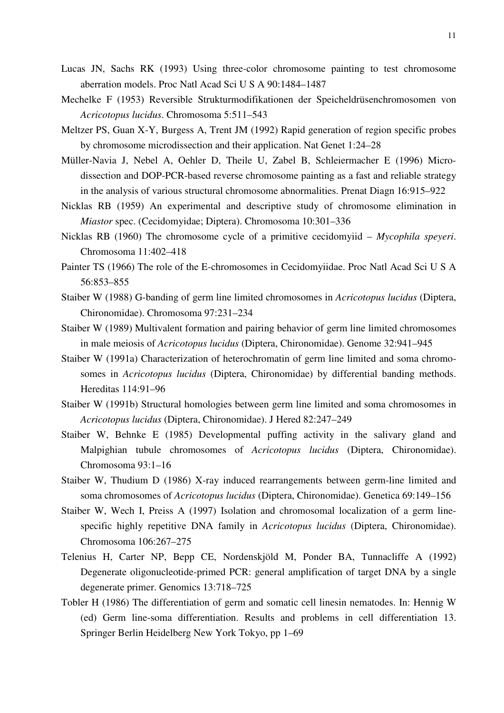- Lucas JN, Sachs RK (1993) Using three-color chromosome painting to test chromosome aberration models. Proc Natl Acad Sci U S A 90:1484–1487
- Mechelke F (1953) Reversible Strukturmodifikationen der Speicheldrüsenchromosomen von *Acricotopus lucidus*. Chromosoma 5:511–543
- Meltzer PS, Guan X-Y, Burgess A, Trent JM (1992) Rapid generation of region specific probes by chromosome microdissection and their application. Nat Genet 1:24–28
- Müller-Navia J, Nebel A, Oehler D, Theile U, Zabel B, Schleiermacher E (1996) Microdissection and DOP-PCR-based reverse chromosome painting as a fast and reliable strategy in the analysis of various structural chromosome abnormalities. Prenat Diagn 16:915–922
- Nicklas RB (1959) An experimental and descriptive study of chromosome elimination in *Miastor* spec. (Cecidomyidae; Diptera). Chromosoma 10:301–336
- Nicklas RB (1960) The chromosome cycle of a primitive cecidomyiid *Mycophila speyeri*. Chromosoma 11:402–418
- Painter TS (1966) The role of the E-chromosomes in Cecidomyiidae. Proc Natl Acad Sci U S A 56:853–855
- Staiber W (1988) G-banding of germ line limited chromosomes in *Acricotopus lucidus* (Diptera, Chironomidae). Chromosoma 97:231–234
- Staiber W (1989) Multivalent formation and pairing behavior of germ line limited chromosomes in male meiosis of *Acricotopus lucidus* (Diptera, Chironomidae). Genome 32:941–945
- Staiber W (1991a) Characterization of heterochromatin of germ line limited and soma chromosomes in *Acricotopus lucidus* (Diptera, Chironomidae) by differential banding methods. Hereditas 114:91–96
- Staiber W (1991b) Structural homologies between germ line limited and soma chromosomes in *Acricotopus lucidus* (Diptera, Chironomidae). J Hered 82:247–249
- Staiber W, Behnke E (1985) Developmental puffing activity in the salivary gland and Malpighian tubule chromosomes of *Acricotopus lucidus* (Diptera, Chironomidae). Chromosoma 93:1–16
- Staiber W, Thudium D (1986) X-ray induced rearrangements between germ-line limited and soma chromosomes of *Acricotopus lucidus* (Diptera, Chironomidae). Genetica 69:149–156
- Staiber W, Wech I, Preiss A (1997) Isolation and chromosomal localization of a germ linespecific highly repetitive DNA family in *Acricotopus lucidus* (Diptera, Chironomidae). Chromosoma 106:267–275
- Telenius H, Carter NP, Bepp CE, Nordenskjöld M, Ponder BA, Tunnacliffe A (1992) Degenerate oligonucleotide-primed PCR: general amplification of target DNA by a single degenerate primer. Genomics 13:718–725
- Tobler H (1986) The differentiation of germ and somatic cell linesin nematodes. In: Hennig W (ed) Germ line-soma differentiation. Results and problems in cell differentiation 13. Springer Berlin Heidelberg New York Tokyo, pp 1–69